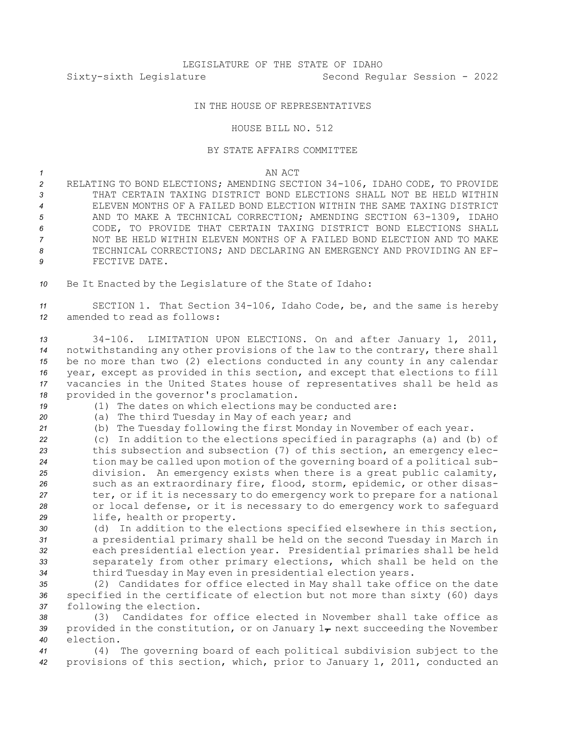## IN THE HOUSE OF REPRESENTATIVES

## HOUSE BILL NO. 512

## BY STATE AFFAIRS COMMITTEE

## *1* AN ACT

 RELATING TO BOND ELECTIONS; AMENDING SECTION 34-106, IDAHO CODE, TO PROVIDE THAT CERTAIN TAXING DISTRICT BOND ELECTIONS SHALL NOT BE HELD WITHIN ELEVEN MONTHS OF A FAILED BOND ELECTION WITHIN THE SAME TAXING DISTRICT AND TO MAKE A TECHNICAL CORRECTION; AMENDING SECTION 63-1309, IDAHO CODE, TO PROVIDE THAT CERTAIN TAXING DISTRICT BOND ELECTIONS SHALL NOT BE HELD WITHIN ELEVEN MONTHS OF A FAILED BOND ELECTION AND TO MAKE TECHNICAL CORRECTIONS; AND DECLARING AN EMERGENCY AND PROVIDING AN EF-FECTIVE DATE.

*<sup>10</sup>* Be It Enacted by the Legislature of the State of Idaho:

*<sup>11</sup>* SECTION 1. That Section 34-106, Idaho Code, be, and the same is hereby *12* amended to read as follows:

 34-106. LIMITATION UPON ELECTIONS. On and after January 1, 2011, notwithstanding any other provisions of the law to the contrary, there shall be no more than two (2) elections conducted in any county in any calendar year, except as provided in this section, and except that elections to fill vacancies in the United States house of representatives shall be held as provided in the governor's proclamation.

- *<sup>19</sup>* (1) The dates on which elections may be conducted are:
- *<sup>20</sup>* (a) The third Tuesday in May of each year; and
- *<sup>21</sup>* (b) The Tuesday following the first Monday in November of each year.

 (c) In addition to the elections specified in paragraphs (a) and (b) of this subsection and subsection (7) of this section, an emergency elec- tion may be called upon motion of the governing board of <sup>a</sup> political sub- division. An emergency exists when there is <sup>a</sup> great public calamity, such as an extraordinary fire, flood, storm, epidemic, or other disas- ter, or if it is necessary to do emergency work to prepare for <sup>a</sup> national or local defense, or it is necessary to do emergency work to safeguard life, health or property.

 (d) In addition to the elections specified elsewhere in this section, <sup>a</sup> presidential primary shall be held on the second Tuesday in March in each presidential election year. Presidential primaries shall be held separately from other primary elections, which shall be held on the third Tuesday in May even in presidential election years.

*<sup>35</sup>* (2) Candidates for office elected in May shall take office on the date *<sup>36</sup>* specified in the certificate of election but not more than sixty (60) days *<sup>37</sup>* following the election.

*38* (3) Candidates for office elected in November shall take office as 39 provided in the constitution, or on January  $1<sub>\tau</sub>$  next succeeding the November *40* election.

*<sup>41</sup>* (4) The governing board of each political subdivision subject to the *<sup>42</sup>* provisions of this section, which, prior to January 1, 2011, conducted an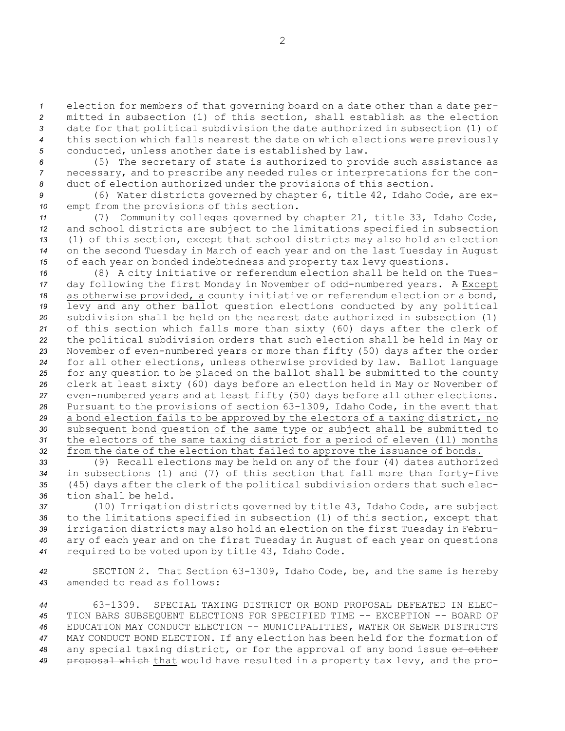election for members of that governing board on <sup>a</sup> date other than <sup>a</sup> date per- mitted in subsection (1) of this section, shall establish as the election date for that political subdivision the date authorized in subsection (1) of this section which falls nearest the date on which elections were previously conducted, unless another date is established by law.

*<sup>6</sup>* (5) The secretary of state is authorized to provide such assistance as *<sup>7</sup>* necessary, and to prescribe any needed rules or interpretations for the con-*<sup>8</sup>* duct of election authorized under the provisions of this section.

*<sup>9</sup>* (6) Water districts governed by chapter 6, title 42, Idaho Code, are ex-*<sup>10</sup>* empt from the provisions of this section.

 (7) Community colleges governed by chapter 21, title 33, Idaho Code, and school districts are subject to the limitations specified in subsection (1) of this section, except that school districts may also hold an election on the second Tuesday in March of each year and on the last Tuesday in August of each year on bonded indebtedness and property tax levy questions.

 (8) <sup>A</sup> city initiative or referendum election shall be held on the Tues- day following the first Monday in November of odd-numbered years. <sup>A</sup> Except as otherwise provided, <sup>a</sup> county initiative or referendum election or <sup>a</sup> bond, levy and any other ballot question elections conducted by any political subdivision shall be held on the nearest date authorized in subsection (1) of this section which falls more than sixty (60) days after the clerk of the political subdivision orders that such election shall be held in May or November of even-numbered years or more than fifty (50) days after the order for all other elections, unless otherwise provided by law. Ballot language for any question to be placed on the ballot shall be submitted to the county clerk at least sixty (60) days before an election held in May or November of even-numbered years and at least fifty (50) days before all other elections. Pursuant to the provisions of section 63-1309, Idaho Code, in the event that <sup>a</sup> bond election fails to be approved by the electors of <sup>a</sup> taxing district, no subsequent bond question of the same type or subject shall be submitted to the electors of the same taxing district for <sup>a</sup> period of eleven (11) months from the date of the election that failed to approve the issuance of bonds.

 (9) Recall elections may be held on any of the four (4) dates authorized in subsections (1) and (7) of this section that fall more than forty-five (45) days after the clerk of the political subdivision orders that such elec-tion shall be held.

 (10) Irrigation districts governed by title 43, Idaho Code, are subject to the limitations specified in subsection (1) of this section, except that irrigation districts may also hold an election on the first Tuesday in Febru- ary of each year and on the first Tuesday in August of each year on questions required to be voted upon by title 43, Idaho Code.

*<sup>42</sup>* SECTION 2. That Section 63-1309, Idaho Code, be, and the same is hereby *43* amended to read as follows:

 63-1309. SPECIAL TAXING DISTRICT OR BOND PROPOSAL DEFEATED IN ELEC- TION BARS SUBSEQUENT ELECTIONS FOR SPECIFIED TIME -- EXCEPTION -- BOARD OF EDUCATION MAY CONDUCT ELECTION -- MUNICIPALITIES, WATER OR SEWER DISTRICTS MAY CONDUCT BOND ELECTION. If any election has been held for the formation of 48 any special taxing district, or for the approval of any bond issue or other proposal which that would have resulted in <sup>a</sup> property tax levy, and the pro-